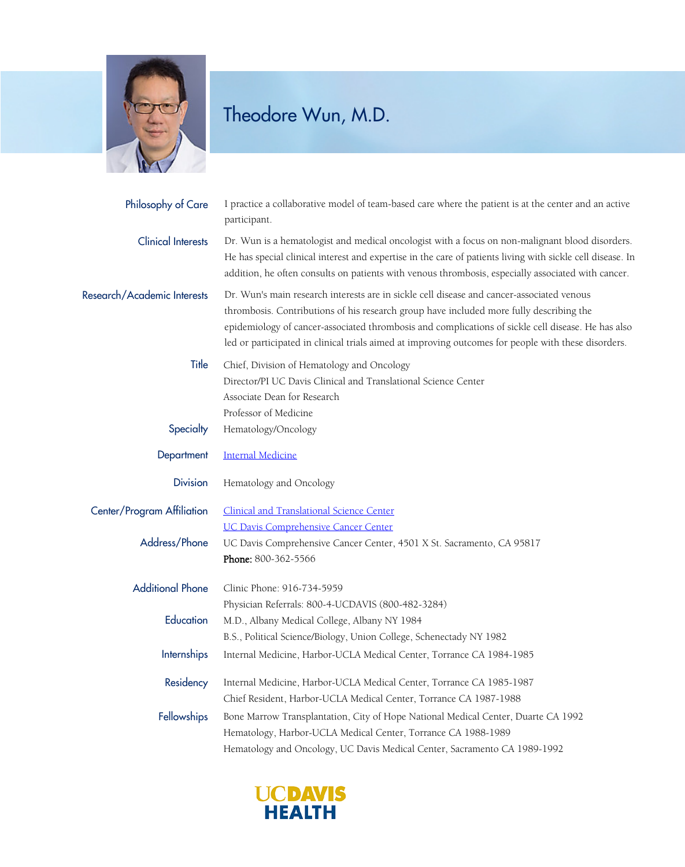

## Theodore Wun, M.D.

| Philosophy of Care          | I practice a collaborative model of team-based care where the patient is at the center and an active<br>participant.                                                                                                                                                                                                                                                                              |
|-----------------------------|---------------------------------------------------------------------------------------------------------------------------------------------------------------------------------------------------------------------------------------------------------------------------------------------------------------------------------------------------------------------------------------------------|
| <b>Clinical Interests</b>   | Dr. Wun is a hematologist and medical oncologist with a focus on non-malignant blood disorders.<br>He has special clinical interest and expertise in the care of patients living with sickle cell disease. In<br>addition, he often consults on patients with venous thrombosis, especially associated with cancer.                                                                               |
| Research/Academic Interests | Dr. Wun's main research interests are in sickle cell disease and cancer-associated venous<br>thrombosis. Contributions of his research group have included more fully describing the<br>epidemiology of cancer-associated thrombosis and complications of sickle cell disease. He has also<br>led or participated in clinical trials aimed at improving outcomes for people with these disorders. |
| Title                       | Chief, Division of Hematology and Oncology<br>Director/PI UC Davis Clinical and Translational Science Center<br>Associate Dean for Research                                                                                                                                                                                                                                                       |
| Specialty                   | Professor of Medicine<br>Hematology/Oncology                                                                                                                                                                                                                                                                                                                                                      |
|                             |                                                                                                                                                                                                                                                                                                                                                                                                   |
| Department                  | <b>Internal Medicine</b>                                                                                                                                                                                                                                                                                                                                                                          |
| <b>Division</b>             | Hematology and Oncology                                                                                                                                                                                                                                                                                                                                                                           |
| Center/Program Affiliation  | <b>Clinical and Translational Science Center</b>                                                                                                                                                                                                                                                                                                                                                  |
|                             | <b>UC Davis Comprehensive Cancer Center</b>                                                                                                                                                                                                                                                                                                                                                       |
| Address/Phone               | UC Davis Comprehensive Cancer Center, 4501 X St. Sacramento, CA 95817                                                                                                                                                                                                                                                                                                                             |
|                             | Phone: 800-362-5566                                                                                                                                                                                                                                                                                                                                                                               |
| <b>Additional Phone</b>     | Clinic Phone: 916-734-5959                                                                                                                                                                                                                                                                                                                                                                        |
|                             | Physician Referrals: 800-4-UCDAVIS (800-482-3284)                                                                                                                                                                                                                                                                                                                                                 |
| Education                   | M.D., Albany Medical College, Albany NY 1984                                                                                                                                                                                                                                                                                                                                                      |
|                             | B.S., Political Science/Biology, Union College, Schenectady NY 1982                                                                                                                                                                                                                                                                                                                               |
| <b>Internships</b>          | Internal Medicine, Harbor-UCLA Medical Center, Torrance CA 1984-1985                                                                                                                                                                                                                                                                                                                              |
| Residency                   | Internal Medicine, Harbor-UCLA Medical Center, Torrance CA 1985-1987                                                                                                                                                                                                                                                                                                                              |
|                             | Chief Resident, Harbor-UCLA Medical Center, Torrance CA 1987-1988                                                                                                                                                                                                                                                                                                                                 |
| Fellowships                 | Bone Marrow Transplantation, City of Hope National Medical Center, Duarte CA 1992                                                                                                                                                                                                                                                                                                                 |
|                             | Hematology, Harbor-UCLA Medical Center, Torrance CA 1988-1989                                                                                                                                                                                                                                                                                                                                     |
|                             | Hematology and Oncology, UC Davis Medical Center, Sacramento CA 1989-1992                                                                                                                                                                                                                                                                                                                         |

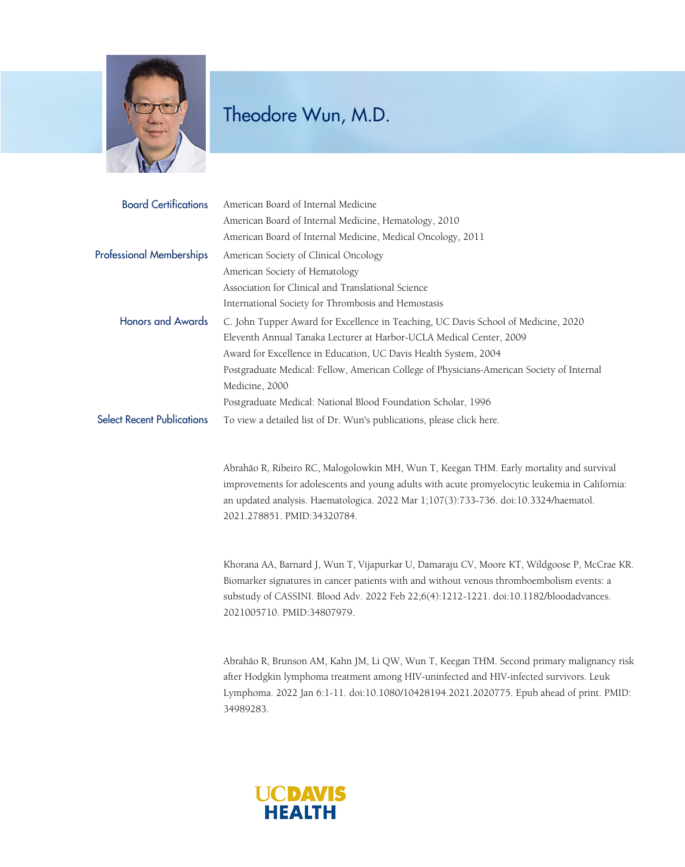

## Theodore Wun, M.D.

| <b>Board Certifications</b>       | American Board of Internal Medicine                                                       |
|-----------------------------------|-------------------------------------------------------------------------------------------|
|                                   | American Board of Internal Medicine, Hematology, 2010                                     |
|                                   | American Board of Internal Medicine, Medical Oncology, 2011                               |
| <b>Professional Memberships</b>   | American Society of Clinical Oncology                                                     |
|                                   | American Society of Hematology                                                            |
|                                   | Association for Clinical and Translational Science                                        |
|                                   | International Society for Thrombosis and Hemostasis                                       |
| <b>Honors and Awards</b>          | C. John Tupper Award for Excellence in Teaching, UC Davis School of Medicine, 2020        |
|                                   | Eleventh Annual Tanaka Lecturer at Harbor-UCLA Medical Center, 2009                       |
|                                   | Award for Excellence in Education, UC Davis Health System, 2004                           |
|                                   | Postgraduate Medical: Fellow, American College of Physicians-American Society of Internal |
|                                   | Medicine, 2000                                                                            |
|                                   | Postgraduate Medical: National Blood Foundation Scholar, 1996                             |
| <b>Select Recent Publications</b> | To view a detailed list of Dr. Wun's publications, please click here.                     |

Abrahão R, Ribeiro RC, Malogolowkin MH, Wun T, Keegan THM. Early mortality and survival improvements for adolescents and young adults with acute promyelocytic leukemia in California: an updated analysis. Haematologica. 2022 Mar 1;107(3):733-736. doi:10.3324/haematol. 2021.278851. PMID:34320784.

Khorana AA, Barnard J, Wun T, Vijapurkar U, Damaraju CV, Moore KT, Wildgoose P, McCrae KR. Biomarker signatures in cancer patients with and without venous thromboembolism events: a substudy of CASSINI. Blood Adv. 2022 Feb 22;6(4):1212-1221. doi:10.1182/bloodadvances. 2021005710. PMID:34807979.

Abrahão R, Brunson AM, Kahn JM, Li QW, Wun T, Keegan THM. Second primary malignancy risk after Hodgkin lymphoma treatment among HIV-uninfected and HIV-infected survivors. Leuk Lymphoma. 2022 Jan 6:1-11. doi:10.1080/10428194.2021.2020775. Epub ahead of print. PMID: 34989283.